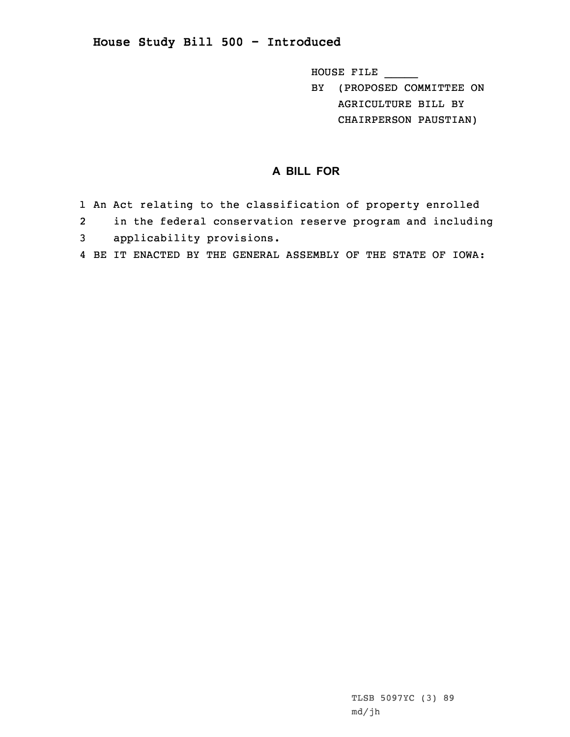## **House Study Bill 500 - Introduced**

HOUSE FILE \_\_\_\_\_

BY (PROPOSED COMMITTEE ON AGRICULTURE BILL BY CHAIRPERSON PAUSTIAN)

## **A BILL FOR**

- 1 An Act relating to the classification of property enrolled
- 2 in the federal conservation reserve program and including
- 3 applicability provisions.
- 4 BE IT ENACTED BY THE GENERAL ASSEMBLY OF THE STATE OF IOWA: